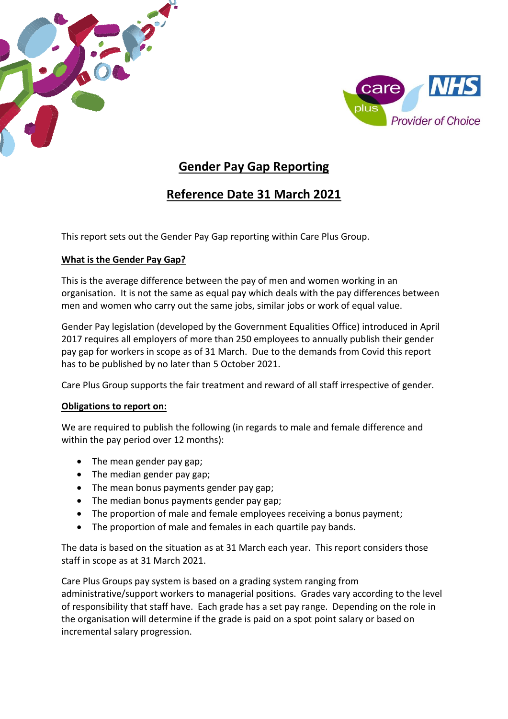



# **Gender Pay Gap Reporting**

# **Reference Date 31 March 2021**

This report sets out the Gender Pay Gap reporting within Care Plus Group.

## **What is the Gender Pay Gap?**

This is the average difference between the pay of men and women working in an organisation. It is not the same as equal pay which deals with the pay differences between men and women who carry out the same jobs, similar jobs or work of equal value.

Gender Pay legislation (developed by the Government Equalities Office) introduced in April 2017 requires all employers of more than 250 employees to annually publish their gender pay gap for workers in scope as of 31 March. Due to the demands from Covid this report has to be published by no later than 5 October 2021.

Care Plus Group supports the fair treatment and reward of all staff irrespective of gender.

## **Obligations to report on:**

We are required to publish the following (in regards to male and female difference and within the pay period over 12 months):

- The mean gender pay gap;
- The median gender pay gap;
- The mean bonus payments gender pay gap;
- The median bonus payments gender pay gap;
- The proportion of male and female employees receiving a bonus payment;
- The proportion of male and females in each quartile pay bands.

The data is based on the situation as at 31 March each year. This report considers those staff in scope as at 31 March 2021.

Care Plus Groups pay system is based on a grading system ranging from administrative/support workers to managerial positions. Grades vary according to the level of responsibility that staff have. Each grade has a set pay range. Depending on the role in the organisation will determine if the grade is paid on a spot point salary or based on incremental salary progression.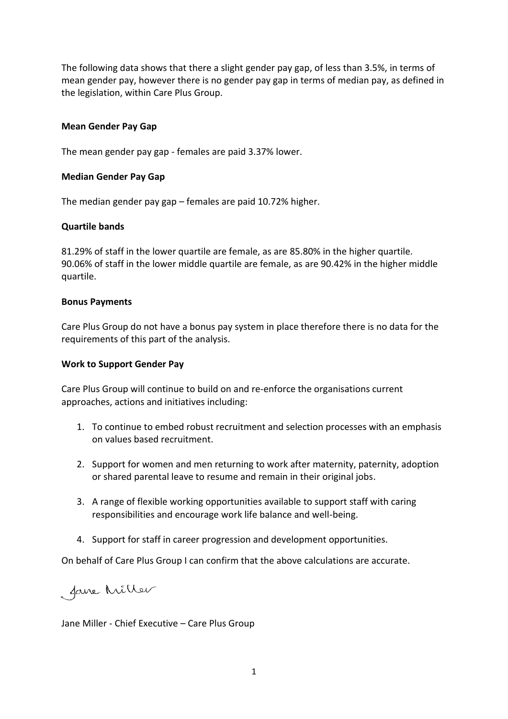The following data shows that there a slight gender pay gap, of less than 3.5%, in terms of mean gender pay, however there is no gender pay gap in terms of median pay, as defined in the legislation, within Care Plus Group.

### **Mean Gender Pay Gap**

The mean gender pay gap - females are paid 3.37% lower.

### **Median Gender Pay Gap**

The median gender pay gap – females are paid 10.72% higher.

### **Quartile bands**

81.29% of staff in the lower quartile are female, as are 85.80% in the higher quartile. 90.06% of staff in the lower middle quartile are female, as are 90.42% in the higher middle quartile.

#### **Bonus Payments**

Care Plus Group do not have a bonus pay system in place therefore there is no data for the requirements of this part of the analysis.

#### **Work to Support Gender Pay**

Care Plus Group will continue to build on and re-enforce the organisations current approaches, actions and initiatives including:

- 1. To continue to embed robust recruitment and selection processes with an emphasis on values based recruitment.
- 2. Support for women and men returning to work after maternity, paternity, adoption or shared parental leave to resume and remain in their original jobs.
- 3. A range of flexible working opportunities available to support staff with caring responsibilities and encourage work life balance and well-being.
- 4. Support for staff in career progression and development opportunities.

On behalf of Care Plus Group I can confirm that the above calculations are accurate.

faire Miller

Jane Miller - Chief Executive – Care Plus Group